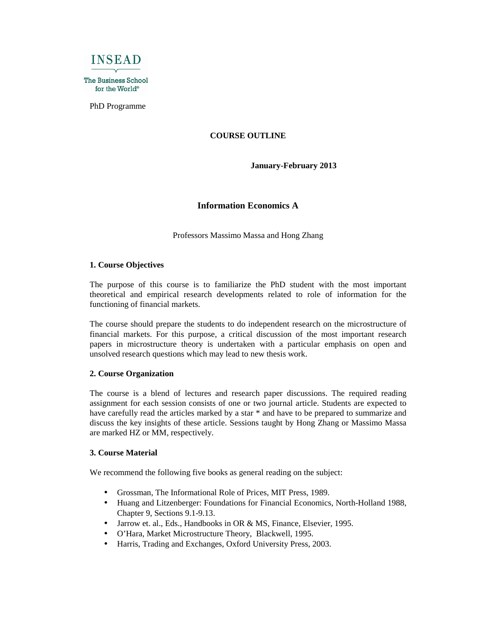

PhD Programme

### **COURSE OUTLINE**

**January-February 2013** 

### **Information Economics A**

Professors Massimo Massa and Hong Zhang

#### **1. Course Objectives**

The purpose of this course is to familiarize the PhD student with the most important theoretical and empirical research developments related to role of information for the functioning of financial markets.

The course should prepare the students to do independent research on the microstructure of financial markets. For this purpose, a critical discussion of the most important research papers in microstructure theory is undertaken with a particular emphasis on open and unsolved research questions which may lead to new thesis work.

#### **2. Course Organization**

The course is a blend of lectures and research paper discussions. The required reading assignment for each session consists of one or two journal article. Students are expected to have carefully read the articles marked by a star \* and have to be prepared to summarize and discuss the key insights of these article. Sessions taught by Hong Zhang or Massimo Massa are marked HZ or MM, respectively.

### **3. Course Material**

We recommend the following five books as general reading on the subject:

- Grossman, The Informational Role of Prices, MIT Press, 1989.
- Huang and Litzenberger: Foundations for Financial Economics, North-Holland 1988, Chapter 9, Sections 9.1-9.13.
- Jarrow et. al., Eds., Handbooks in OR & MS, Finance, Elsevier, 1995.
- O'Hara, Market Microstructure Theory, Blackwell, 1995.
- Harris, Trading and Exchanges, Oxford University Press, 2003.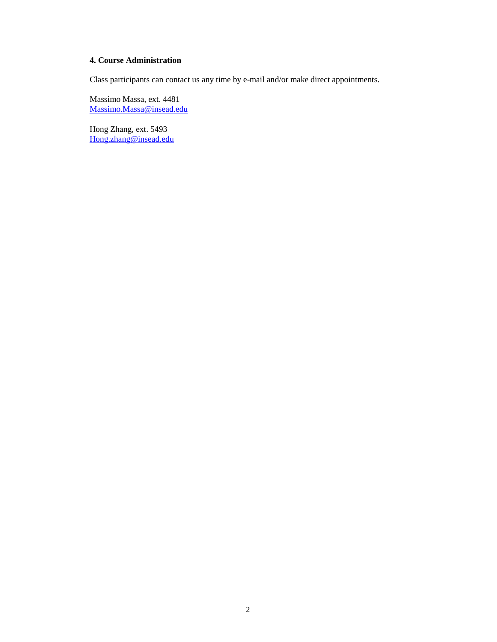### **4. Course Administration**

Class participants can contact us any time by e-mail and/or make direct appointments.

Massimo Massa, ext. 4481 Massimo.Massa@insead.edu

Hong Zhang, ext. 5493 Hong.zhang@insead.edu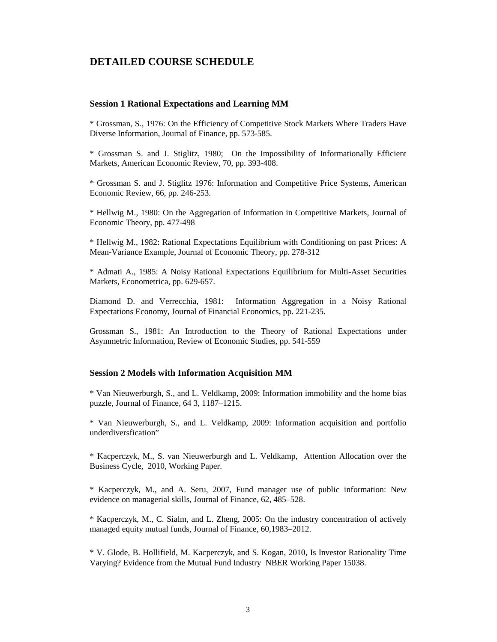# **DETAILED COURSE SCHEDULE**

#### **Session 1 Rational Expectations and Learning MM**

\* Grossman, S., 1976: On the Efficiency of Competitive Stock Markets Where Traders Have Diverse Information, Journal of Finance, pp. 573-585.

\* Grossman S. and J. Stiglitz, 1980; On the Impossibility of Informationally Efficient Markets, American Economic Review, 70, pp. 393-408.

\* Grossman S. and J. Stiglitz 1976: Information and Competitive Price Systems, American Economic Review, 66, pp. 246-253.

\* Hellwig M., 1980: On the Aggregation of Information in Competitive Markets, Journal of Economic Theory, pp. 477-498

\* Hellwig M., 1982: Rational Expectations Equilibrium with Conditioning on past Prices: A Mean-Variance Example, Journal of Economic Theory, pp. 278-312

\* Admati A., 1985: A Noisy Rational Expectations Equilibrium for Multi-Asset Securities Markets, Econometrica, pp. 629-657.

Diamond D. and Verrecchia, 1981: Information Aggregation in a Noisy Rational Expectations Economy, Journal of Financial Economics, pp. 221-235.

Grossman S., 1981: An Introduction to the Theory of Rational Expectations under Asymmetric Information, Review of Economic Studies, pp. 541-559

#### **Session 2 Models with Information Acquisition MM**

\* Van Nieuwerburgh, S., and L. Veldkamp, 2009: Information immobility and the home bias puzzle, Journal of Finance, 64 3, 1187–1215.

\* Van Nieuwerburgh, S., and L. Veldkamp, 2009: Information acquisition and portfolio underdiversfication"

\* Kacperczyk, M., S. van Nieuwerburgh and L. Veldkamp, Attention Allocation over the Business Cycle, 2010, Working Paper.

\* Kacperczyk, M., and A. Seru, 2007, Fund manager use of public information: New evidence on managerial skills, Journal of Finance, 62, 485–528.

\* Kacperczyk, M., C. Sialm, and L. Zheng, 2005: On the industry concentration of actively managed equity mutual funds, Journal of Finance, 60,1983–2012.

\* V. Glode, B. Hollifield, M. Kacperczyk, and S. Kogan, 2010, Is Investor Rationality Time Varying? Evidence from the Mutual Fund Industry NBER Working Paper 15038.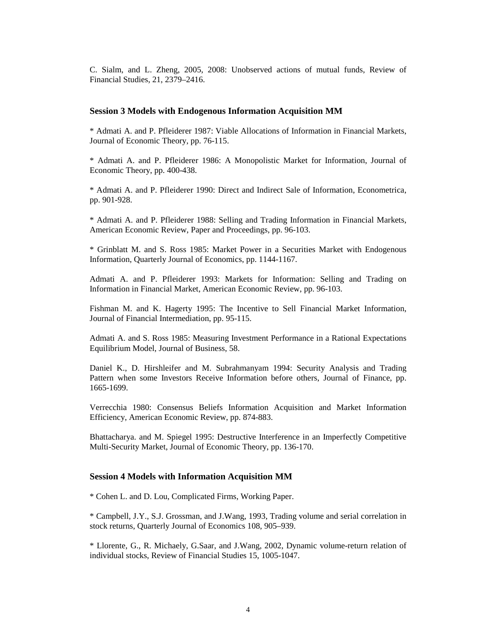C. Sialm, and L. Zheng, 2005, 2008: Unobserved actions of mutual funds, Review of Financial Studies, 21, 2379–2416.

#### **Session 3 Models with Endogenous Information Acquisition MM**

\* Admati A. and P. Pfleiderer 1987: Viable Allocations of Information in Financial Markets, Journal of Economic Theory, pp. 76-115.

\* Admati A. and P. Pfleiderer 1986: A Monopolistic Market for Information, Journal of Economic Theory, pp. 400-438.

\* Admati A. and P. Pfleiderer 1990: Direct and Indirect Sale of Information, Econometrica, pp. 901-928.

\* Admati A. and P. Pfleiderer 1988: Selling and Trading Information in Financial Markets, American Economic Review, Paper and Proceedings, pp. 96-103.

\* Grinblatt M. and S. Ross 1985: Market Power in a Securities Market with Endogenous Information, Quarterly Journal of Economics, pp. 1144-1167.

Admati A. and P. Pfleiderer 1993: Markets for Information: Selling and Trading on Information in Financial Market, American Economic Review, pp. 96-103.

Fishman M. and K. Hagerty 1995: The Incentive to Sell Financial Market Information, Journal of Financial Intermediation, pp. 95-115.

Admati A. and S. Ross 1985: Measuring Investment Performance in a Rational Expectations Equilibrium Model, Journal of Business, 58.

Daniel K., D. Hirshleifer and M. Subrahmanyam 1994: Security Analysis and Trading Pattern when some Investors Receive Information before others, Journal of Finance, pp. 1665-1699.

Verrecchia 1980: Consensus Beliefs Information Acquisition and Market Information Efficiency, American Economic Review, pp. 874-883.

Bhattacharya. and M. Spiegel 1995: Destructive Interference in an Imperfectly Competitive Multi-Security Market, Journal of Economic Theory, pp. 136-170.

#### **Session 4 Models with Information Acquisition MM**

\* Cohen L. and D. Lou, Complicated Firms, Working Paper.

\* Campbell, J.Y., S.J. Grossman, and J.Wang, 1993, Trading volume and serial correlation in stock returns, Quarterly Journal of Economics 108, 905–939.

\* Llorente, G., R. Michaely, G.Saar, and J.Wang, 2002, Dynamic volume-return relation of individual stocks, Review of Financial Studies 15, 1005-1047.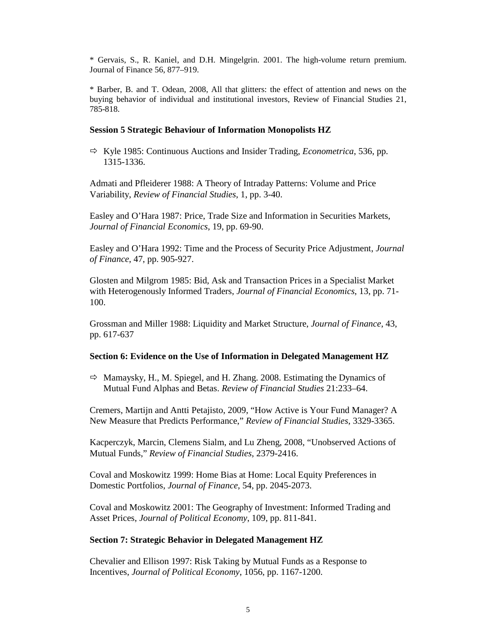\* Gervais, S., R. Kaniel, and D.H. Mingelgrin. 2001. The high-volume return premium. Journal of Finance 56, 877–919.

\* Barber, B. and T. Odean, 2008, All that glitters: the effect of attention and news on the buying behavior of individual and institutional investors, Review of Financial Studies 21, 785-818.

# **Session 5 Strategic Behaviour of Information Monopolists HZ**

 Kyle 1985: Continuous Auctions and Insider Trading, *Econometrica*, 536, pp. 1315-1336.

Admati and Pfleiderer 1988: A Theory of Intraday Patterns: Volume and Price Variability, *Review of Financial Studies*, 1, pp. 3-40.

Easley and O'Hara 1987: Price, Trade Size and Information in Securities Markets, *Journal of Financial Economics*, 19, pp. 69-90.

Easley and O'Hara 1992: Time and the Process of Security Price Adjustment, *Journal of Finance*, 47, pp. 905-927.

Glosten and Milgrom 1985: Bid, Ask and Transaction Prices in a Specialist Market with Heterogenously Informed Traders, *Journal of Financial Economics*, 13, pp. 71- 100.

Grossman and Miller 1988: Liquidity and Market Structure, *Journal of Finance*, 43, pp. 617-637

# **Section 6: Evidence on the Use of Information in Delegated Management HZ**

 $\Rightarrow$  Mamaysky, H., M. Spiegel, and H. Zhang. 2008. Estimating the Dynamics of Mutual Fund Alphas and Betas. *Review of Financial Studies* 21:233–64.

Cremers, Martijn and Antti Petajisto, 2009, "How Active is Your Fund Manager? A New Measure that Predicts Performance," *Review of Financial Studies*, 3329-3365.

Kacperczyk, Marcin, Clemens Sialm, and Lu Zheng, 2008, "Unobserved Actions of Mutual Funds," *Review of Financial Studies*, 2379-2416.

Coval and Moskowitz 1999: Home Bias at Home: Local Equity Preferences in Domestic Portfolios, *Journal of Finance*, 54, pp. 2045-2073.

Coval and Moskowitz 2001: The Geography of Investment: Informed Trading and Asset Prices, *Journal of Political Economy*, 109, pp. 811-841.

### **Section 7: Strategic Behavior in Delegated Management HZ**

Chevalier and Ellison 1997: Risk Taking by Mutual Funds as a Response to Incentives, *Journal of Political Economy*, 1056, pp. 1167-1200.